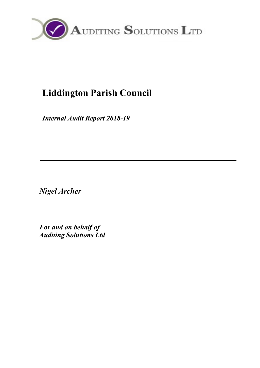

# **Liddington Parish Council**

*Internal Audit Report 2018-19*

*Nigel Archer* 

*For and on behalf of Auditing Solutions Ltd*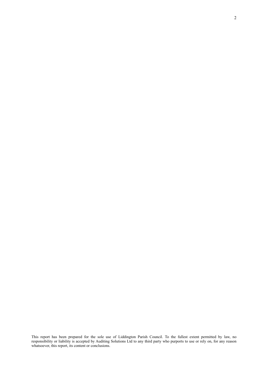This report has been prepared for the sole use of Liddington Parish Council. To the fullest extent permitted by law, no responsibility or liability is accepted by Auditing Solutions Ltd to any third party who purports to use or rely on, for any reason whatsoever, this report, its content or conclusions.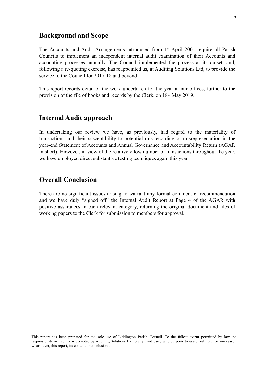### **Background and Scope**

The Accounts and Audit Arrangements introduced from 1st April 2001 require all Parish Councils to implement an independent internal audit examination of their Accounts and accounting processes annually. The Council implemented the process at its outset, and, following a re-quoting exercise, has reappointed us, at Auditing Solutions Ltd, to provide the service to the Council for 2017-18 and beyond

This report records detail of the work undertaken for the year at our offices, further to the provision of the file of books and records by the Clerk, on 18th May 2019.

### **Internal Audit approach**

In undertaking our review we have, as previously, had regard to the materiality of transactions and their susceptibility to potential mis-recording or misrepresentation in the year-end Statement of Accounts and Annual Governance and Accountability Return (AGAR in short). However, in view of the relatively low number of transactions throughout the year, we have employed direct substantive testing techniques again this year

### **Overall Conclusion**

There are no significant issues arising to warrant any formal comment or recommendation and we have duly "signed off" the Internal Audit Report at Page 4 of the AGAR with positive assurances in each relevant category, returning the original document and files of working papers to the Clerk for submission to members for approval.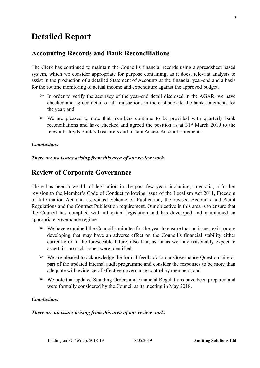# **Detailed Report**

### **Accounting Records and Bank Reconciliations**

The Clerk has continued to maintain the Council's financial records using a spreadsheet based system, which we consider appropriate for purpose containing, as it does, relevant analysis to assist in the production of a detailed Statement of Accounts at the financial year-end and a basis for the routine monitoring of actual income and expenditure against the approved budget.

- $\geq$  In order to verify the accuracy of the year-end detail disclosed in the AGAR, we have checked and agreed detail of all transactions in the cashbook to the bank statements for the year; and
- $\geq$  We are pleased to note that members continue to be provided with quarterly bank reconciliations and have checked and agreed the position as at 31st March 2019 to the relevant Lloyds Bank's Treasurers and Instant Access Account statements.

#### *Conclusions*

*There are no issues arising from this area of our review work.* 

### **Review of Corporate Governance**

There has been a wealth of legislation in the past few years including, inter alia, a further revision to the Member's Code of Conduct following issue of the Localism Act 2011, Freedom of Information Act and associated Scheme of Publication, the revised Accounts and Audit Regulations and the Contract Publication requirement. Our objective in this area is to ensure that the Council has complied with all extant legislation and has developed and maintained an appropriate governance regime.

- $\triangleright$  We have examined the Council's minutes for the year to ensure that no issues exist or are developing that may have an adverse effect on the Council's financial stability either currently or in the foreseeable future, also that, as far as we may reasonably expect to ascertain: no such issues were identified;
- $\triangleright$  We are pleased to acknowledge the formal feedback to our Governance Questionnaire as part of the updated internal audit programme and consider the responses to be more than adequate with evidence of effective governance control by members; and
- $\triangleright$  We note that updated Standing Orders and Financial Regulations have been prepared and were formally considered by the Council at its meeting in May 2018.

#### *Conclusions*

#### *There are no issues arising from this area of our review work.*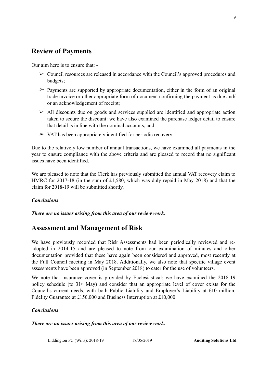# **Review of Payments**

Our aim here is to ensure that: -

- $\geq$  Council resources are released in accordance with the Council's approved procedures and budgets;
- $\geq$  Payments are supported by appropriate documentation, either in the form of an original trade invoice or other appropriate form of document confirming the payment as due and/ or an acknowledgement of receipt;
- $\geq$  All discounts due on goods and services supplied are identified and appropriate action taken to secure the discount: we have also examined the purchase ledger detail to ensure that detail is in line with the nominal accounts; and
- $\triangleright$  VAT has been appropriately identified for periodic recovery.

Due to the relatively low number of annual transactions, we have examined all payments in the year to ensure compliance with the above criteria and are pleased to record that no significant issues have been identified.

We are pleased to note that the Clerk has previously submitted the annual VAT recovery claim to HMRC for 2017-18 (in the sum of £1,580, which was duly repaid in May 2018) and that the claim for 2018-19 will be submitted shortly.

### *Conclusions*

*There are no issues arising from this area of our review work.* 

# **Assessment and Management of Risk**

We have previously recorded that Risk Assessments had been periodically reviewed and readopted in 2014-15 and are pleased to note from our examination of minutes and other documentation provided that these have again been considered and approved, most recently at the Full Council meeting in May 2018. Additionally, we also note that specific village event assessments have been approved (in September 2018) to cater for the use of volunteers.

We note that insurance cover is provided by Ecclesiastical: we have examined the 2018-19 policy schedule (to 31st May) and consider that an appropriate level of cover exists for the Council's current needs, with both Public Liability and Employer's Liability at £10 million, Fidelity Guarantee at £150,000 and Business Interruption at £10,000.

### *Conclusions*

#### *There are no issues arising from this area of our review work.*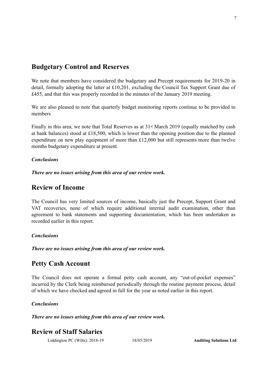# **Budgetary Control and Reserves**

We note that members have considered the budgetary and Precept requirements for 2019-20 in detail, formally adopting the latter at £10,201, excluding the Council Tax Support Grant due of £455, and that this was properly recorded in the minutes of the January 2019 meeting.

We are also pleased to note that quarterly budget monitoring reports continue to be provided to members

Finally in this area, we note that Total Reserves as at 31<sup>st</sup> March 2019 (equally matched by cash at bank balances) stood at £18,500, which is lower than the opening position due to the planned expenditure on new play equipment of more than £12,000 but still represents more than twelve months budgetary expenditure at present.

### *Conclusions*

*There are no issues arising from this area of our review work.* 

### **Review of Income**

The Council has very limited sources of income, basically just the Precept, Support Grant and VAT recoveries, none of which require additional internal audit examination, other than agreement to bank statements and supporting documentation, which has been undertaken as recorded earlier in this report.

### *Conclusions*

*There are no issues arising from this area of our review work.* 

# **Petty Cash Account**

The Council does not operate a formal petty cash account, any "out-of-pocket expenses" incurred by the Clerk being reimbursed periodically through the routine payment process, detail of which we have checked and agreed in full for the year as noted earlier in this report.

### *Conclusions*

*There are no issues arising from this area of our review work.* 

# **Review of Staff Salaries**

Liddington PC (Wilts): 2018-19 18/05/2019 **Auditing Solutions Ltd**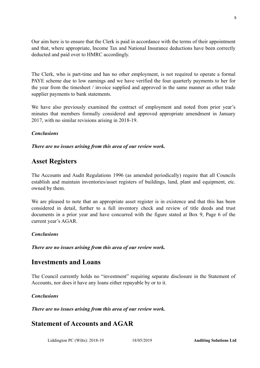Our aim here is to ensure that the Clerk is paid in accordance with the terms of their appointment and that, where appropriate, Income Tax and National Insurance deductions have been correctly deducted and paid over to HMRC accordingly.

The Clerk, who is part-time and has no other employment, is not required to operate a formal PAYE scheme due to low earnings and we have verified the four quarterly payments to her for the year from the timesheet / invoice supplied and approved in the same manner as other trade supplier payments to bank statements.

We have also previously examined the contract of employment and noted from prior year's minutes that members formally considered and approved appropriate amendment in January 2017, with no similar revisions arising in 2018-19.

### *Conclusions*

*There are no issues arising from this area of our review work.* 

### **Asset Registers**

The Accounts and Audit Regulations 1996 (as amended periodically) require that all Councils establish and maintain inventories/asset registers of buildings, land, plant and equipment, etc. owned by them.

We are pleased to note that an appropriate asset register is in existence and that this has been considered in detail, further to a full inventory check and review of title deeds and trust documents in a prior year and have concurred with the figure stated at Box 9, Page 6 of the current year's AGAR.

### *Conclusions*

*There are no issues arising from this area of our review work.* 

### **Investments and Loans**

The Council currently holds no "investment" requiring separate disclosure in the Statement of Accounts, nor does it have any loans either repayable by or to it.

### *Conclusions*

*There are no issues arising from this area of our review work.* 

# **Statement of Accounts and AGAR**

Liddington PC (Wilts): 2018-19 18/05/2019 **Auditing Solutions Ltd**